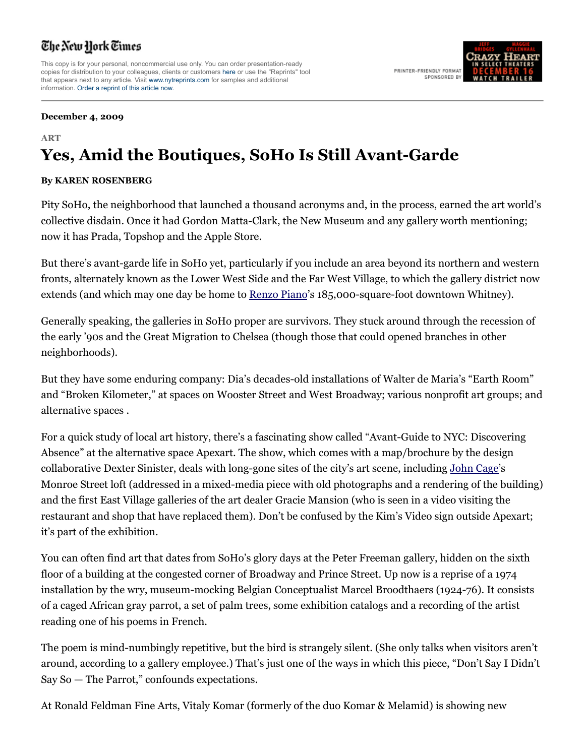## The New York Times

This copy is for your personal, noncommercial use only. You can order presentation-ready copies for distribution to your colleagues, clients or customers here or use the "Reprints" tool that appears next to any article. Visit www.nytreprints.com for samples and additional information. Order a reprint of this article now.

PRINTER-FRIENDLY FORMAT SPONSORED BY



#### **December 4, 2009**

#### **ART**

# **Yes, Amid the Boutiques, SoHo Is Still Avant-Garde**

### **By KAREN ROSENBERG**

Pity SoHo, the neighborhood that launched a thousand acronyms and, in the process, earned the art world's collective disdain. Once it had Gordon Matta-Clark, the New Museum and any gallery worth mentioning; now it has Prada, Topshop and the Apple Store.

But there's avant-garde life in SoHo yet, particularly if you include an area beyond its northern and western fronts, alternately known as the Lower West Side and the Far West Village, to which the gallery district now extends (and which may one day be home to Renzo Piano's 185,000-square-foot downtown Whitney).

Generally speaking, the galleries in SoHo proper are survivors. They stuck around through the recession of the early '90s and the Great Migration to Chelsea (though those that could opened branches in other neighborhoods).

But they have some enduring company: Dia's decades-old installations of Walter de Maria's "Earth Room" and "Broken Kilometer," at spaces on Wooster Street and West Broadway; various nonprofit art groups; and alternative spaces .

For a quick study of local art history, there's a fascinating show called "Avant-Guide to NYC: Discovering Absence" at the alternative space Apexart. The show, which comes with a map/brochure by the design collaborative Dexter Sinister, deals with long-gone sites of the city's art scene, including John Cage's Monroe Street loft (addressed in a mixed-media piece with old photographs and a rendering of the building) and the first East Village galleries of the art dealer Gracie Mansion (who is seen in a video visiting the restaurant and shop that have replaced them). Don't be confused by the Kim's Video sign outside Apexart; it's part of the exhibition.

You can often find art that dates from SoHo's glory days at the Peter Freeman gallery, hidden on the sixth floor of a building at the congested corner of Broadway and Prince Street. Up now is a reprise of a 1974 installation by the wry, museum-mocking Belgian Conceptualist Marcel Broodthaers (1924-76). It consists of a caged African gray parrot, a set of palm trees, some exhibition catalogs and a recording of the artist reading one of his poems in French.

The poem is mind-numbingly repetitive, but the bird is strangely silent. (She only talks when visitors aren't around, according to a gallery employee.) That's just one of the ways in which this piece, "Don't Say I Didn't Say So — The Parrot," confounds expectations.

At Ronald Feldman Fine Arts, Vitaly Komar (formerly of the duo Komar & Melamid) is showing new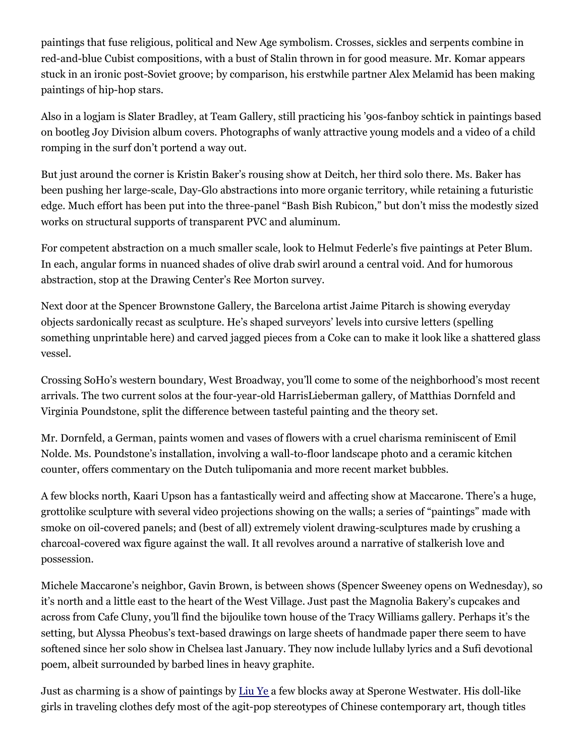paintings that fuse religious, political and New Age symbolism. Crosses, sickles and serpents combine in red-and-blue Cubist compositions, with a bust of Stalin thrown in for good measure. Mr. Komar appears stuck in an ironic post-Soviet groove; by comparison, his erstwhile partner Alex Melamid has been making paintings of hip-hop stars.

Also in a logjam is Slater Bradley, at Team Gallery, still practicing his '90s-fanboy schtick in paintings based on bootleg Joy Division album covers. Photographs of wanly attractive young models and a video of a child romping in the surf don't portend a way out.

But just around the corner is Kristin Baker's rousing show at Deitch, her third solo there. Ms. Baker has been pushing her large-scale, Day-Glo abstractions into more organic territory, while retaining a futuristic edge. Much effort has been put into the three-panel "Bash Bish Rubicon," but don't miss the modestly sized works on structural supports of transparent PVC and aluminum.

For competent abstraction on a much smaller scale, look to Helmut Federle's five paintings at Peter Blum. In each, angular forms in nuanced shades of olive drab swirl around a central void. And for humorous abstraction, stop at the Drawing Center's Ree Morton survey.

Next door at the Spencer Brownstone Gallery, the Barcelona artist Jaime Pitarch is showing everyday objects sardonically recast as sculpture. He's shaped surveyors' levels into cursive letters (spelling something unprintable here) and carved jagged pieces from a Coke can to make it look like a shattered glass vessel.

Crossing SoHo's western boundary, West Broadway, you'll come to some of the neighborhood's most recent arrivals. The two current solos at the four-year-old HarrisLieberman gallery, of Matthias Dornfeld and Virginia Poundstone, split the difference between tasteful painting and the theory set.

Mr. Dornfeld, a German, paints women and vases of flowers with a cruel charisma reminiscent of Emil Nolde. Ms. Poundstone's installation, involving a wall-to-floor landscape photo and a ceramic kitchen counter, offers commentary on the Dutch tulipomania and more recent market bubbles.

A few blocks north, Kaari Upson has a fantastically weird and affecting show at Maccarone. There's a huge, grottolike sculpture with several video projections showing on the walls; a series of "paintings" made with smoke on oil-covered panels; and (best of all) extremely violent drawing-sculptures made by crushing a charcoal-covered wax figure against the wall. It all revolves around a narrative of stalkerish love and possession.

Michele Maccarone's neighbor, Gavin Brown, is between shows (Spencer Sweeney opens on Wednesday), so it's north and a little east to the heart of the West Village. Just past the Magnolia Bakery's cupcakes and across from Cafe Cluny, you'll find the bijoulike town house of the Tracy Williams gallery. Perhaps it's the setting, but Alyssa Pheobus's text-based drawings on large sheets of handmade paper there seem to have softened since her solo show in Chelsea last January. They now include lullaby lyrics and a Sufi devotional poem, albeit surrounded by barbed lines in heavy graphite.

Just as charming is a show of paintings by Liu Ye a few blocks away at Sperone Westwater. His doll-like girls in traveling clothes defy most of the agit-pop stereotypes of Chinese contemporary art, though titles